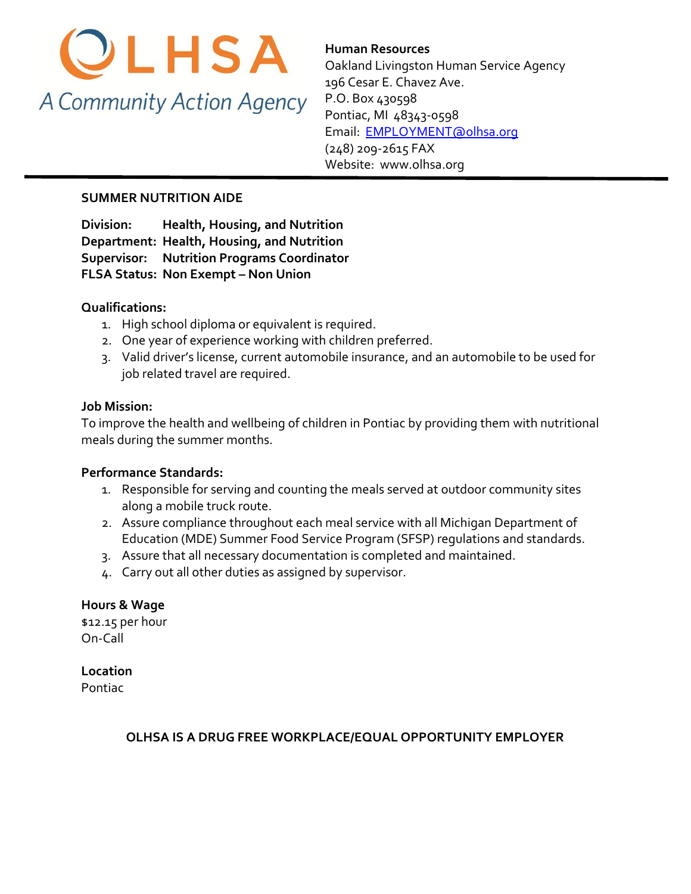

**Human Resources**  Oakland Livingston Human Service Agency 196 Cesar E. Chavez Ave. P.O. Box 430598 Pontiac, MI 48343-0598 [Email: EMPLOYMENT@olhsa.org](mailto:JamilaT@olhsa.org) (248) 209-2615 FAX Website: www.olhsa.org

## **SUMMER NUTRITION AIDE**

**Division: Health, Housing, and Nutrition Department: Health, Housing, and Nutrition Supervisor: Nutrition Programs Coordinator FLSA Status: Non Exempt – Non Union**

## **Qualifications:**

- 1. High school diploma or equivalent is required.
- 2. One year of experience working with children preferred.
- 3. Valid driver's license, current automobile insurance, and an automobile to be used for job related travel are required.

### **Job Mission:**

To improve the health and wellbeing of children in Pontiac by providing them with nutritional meals during the summer months.

### **Performance Standards:**

- 1. Responsible for serving and counting the meals served at outdoor community sites along a mobile truck route.
- 2. Assure compliance throughout each meal service with all Michigan Department of Education (MDE) Summer Food Service Program (SFSP) regulations and standards.
- 3. Assure that all necessary documentation is completed and maintained.
- 4. Carry out all other duties as assigned by supervisor.

## **Hours & Wage**

\$12.15 per hour On-Call

### **Location**

Pontiac

### **OLHSA IS A DRUG FREE WORKPLACE/EQUAL OPPORTUNITY EMPLOYER**